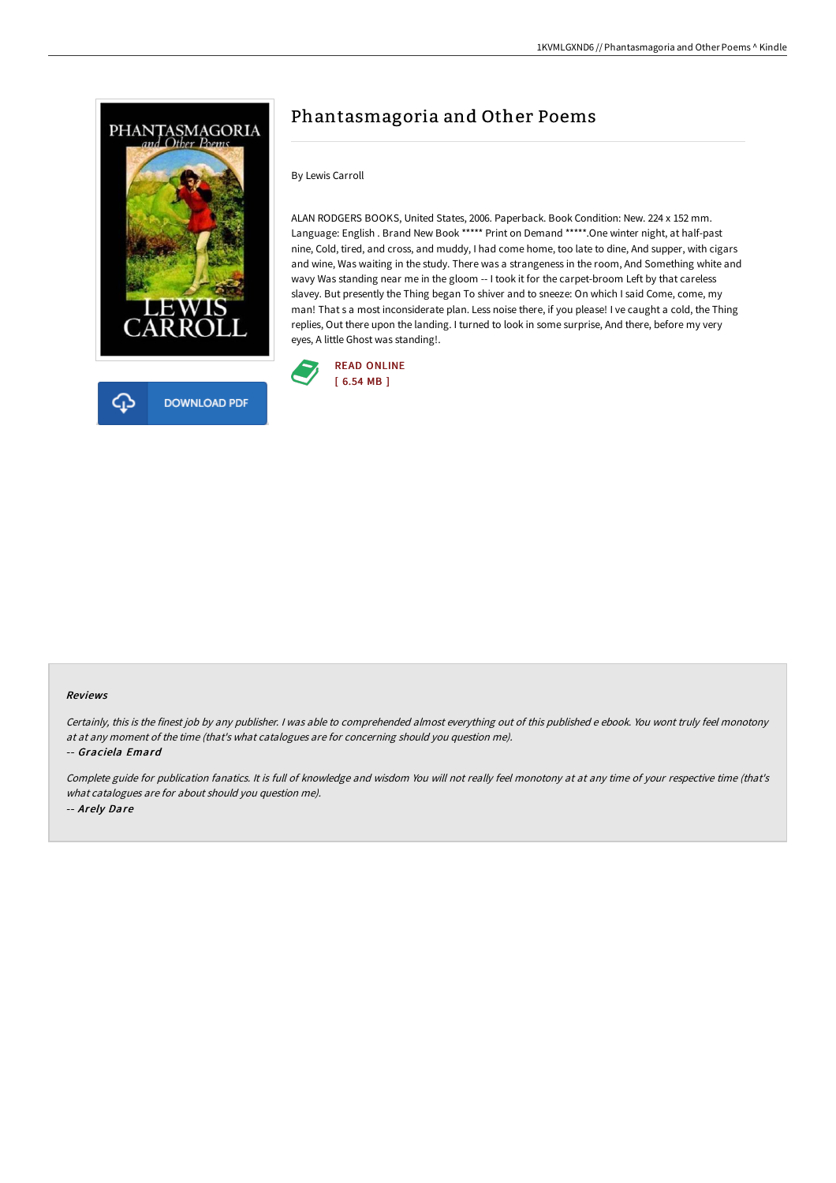

# Phantasmagoria and Other Poems

### By Lewis Carroll

ALAN RODGERS BOOKS, United States, 2006. Paperback. Book Condition: New. 224 x 152 mm. Language: English . Brand New Book \*\*\*\*\* Print on Demand \*\*\*\*\*.One winter night, at half-past nine, Cold, tired, and cross, and muddy, I had come home, too late to dine, And supper, with cigars and wine, Was waiting in the study. There was a strangeness in the room, And Something white and wavy Was standing near me in the gloom -- I took it for the carpet-broom Left by that careless slavey. But presently the Thing began To shiver and to sneeze: On which I said Come, come, my man! That s a most inconsiderate plan. Less noise there, if you please! I ve caught a cold, the Thing replies, Out there upon the landing. I turned to look in some surprise, And there, before my very eyes, A little Ghost was standing!.



#### Reviews

Certainly, this is the finest job by any publisher. <sup>I</sup> was able to comprehended almost everything out of this published <sup>e</sup> ebook. You wont truly feel monotony at at any moment of the time (that's what catalogues are for concerning should you question me).

-- Graciela Emard

Complete guide for publication fanatics. It is full of knowledge and wisdom You will not really feel monotony at at any time of your respective time (that's what catalogues are for about should you question me). -- Arely Dare